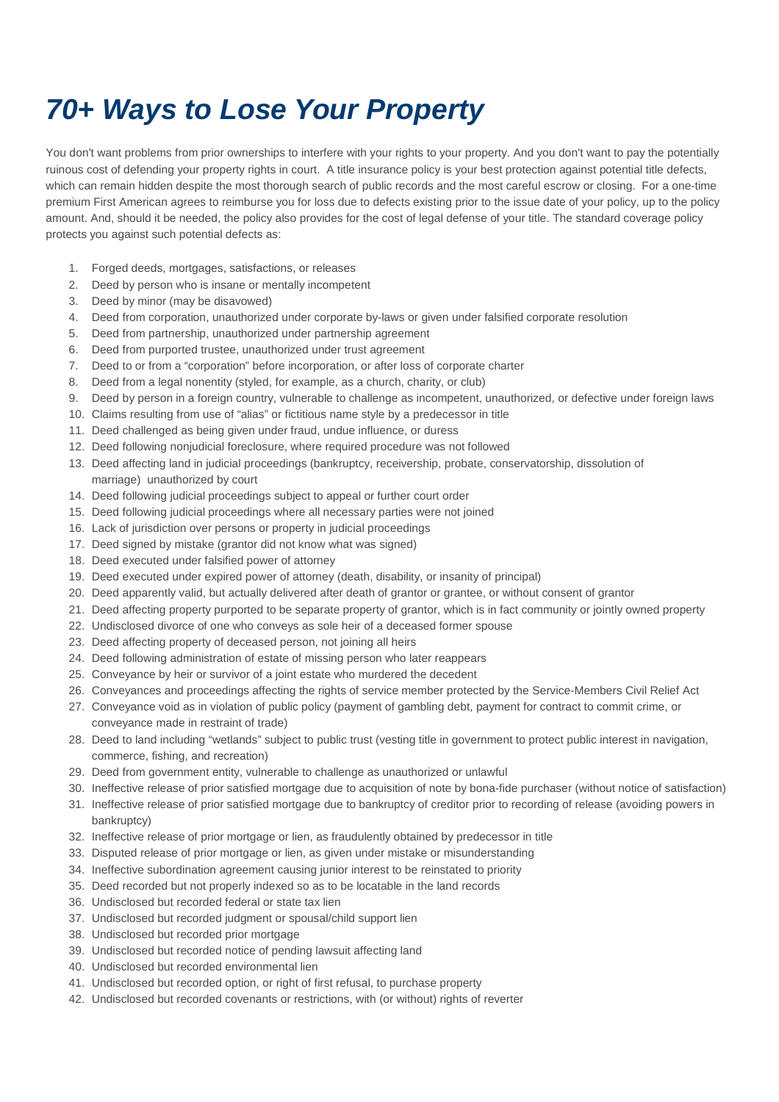## **70+ Ways to Lose Your Property**

You don't want problems from prior ownerships to interfere with your rights to your property. And you don't want to pay the potentially ruinous cost of defending your property rights in court. A title insurance policy is your best protection against potential title defects, which can remain hidden despite the most thorough search of public records and the most careful escrow or closing. For a one-time premium First American agrees to reimburse you for loss due to defects existing prior to the issue date of your policy, up to the policy amount. And, should it be needed, the policy also provides for the cost of legal defense of your title. The standard coverage policy protects you against such potential defects as:

- 1. Forged deeds, mortgages, satisfactions, or releases
- 2. Deed by person who is insane or mentally incompetent
- 3. Deed by minor (may be disavowed)
- 4. Deed from corporation, unauthorized under corporate by-laws or given under falsified corporate resolution
- 5. Deed from partnership, unauthorized under partnership agreement
- 6. Deed from purported trustee, unauthorized under trust agreement
- 7. Deed to or from a "corporation" before incorporation, or after loss of corporate charter
- 8. Deed from a legal nonentity (styled, for example, as a church, charity, or club)
- 9. Deed by person in a foreign country, vulnerable to challenge as incompetent, unauthorized, or defective under foreign laws
- 10. Claims resulting from use of "alias" or fictitious name style by a predecessor in title
- 11. Deed challenged as being given under fraud, undue influence, or duress
- 12. Deed following nonjudicial foreclosure, where required procedure was not followed
- 13. Deed affecting land in judicial proceedings (bankruptcy, receivership, probate, conservatorship, dissolution of marriage) unauthorized by court
- 14. Deed following judicial proceedings subject to appeal or further court order
- 15. Deed following judicial proceedings where all necessary parties were not joined
- 16. Lack of jurisdiction over persons or property in judicial proceedings
- 17. Deed signed by mistake (grantor did not know what was signed)
- 18. Deed executed under falsified power of attorney
- 19. Deed executed under expired power of attorney (death, disability, or insanity of principal)
- 20. Deed apparently valid, but actually delivered after death of grantor or grantee, or without consent of grantor
- 21. Deed affecting property purported to be separate property of grantor, which is in fact community or jointly owned property
- 22. Undisclosed divorce of one who conveys as sole heir of a deceased former spouse
- 23. Deed affecting property of deceased person, not joining all heirs
- 24. Deed following administration of estate of missing person who later reappears
- 25. Conveyance by heir or survivor of a joint estate who murdered the decedent
- 26. Conveyances and proceedings affecting the rights of service member protected by the Service-Members Civil Relief Act
- 27. Conveyance void as in violation of public policy (payment of gambling debt, payment for contract to commit crime, or conveyance made in restraint of trade)
- 28. Deed to land including "wetlands" subject to public trust (vesting title in government to protect public interest in navigation, commerce, fishing, and recreation)
- 29. Deed from government entity, vulnerable to challenge as unauthorized or unlawful
- 30. Ineffective release of prior satisfied mortgage due to acquisition of note by bona-fide purchaser (without notice of satisfaction)
- 31. Ineffective release of prior satisfied mortgage due to bankruptcy of creditor prior to recording of release (avoiding powers in bankruptcy)
- 32. Ineffective release of prior mortgage or lien, as fraudulently obtained by predecessor in title
- 33. Disputed release of prior mortgage or lien, as given under mistake or misunderstanding
- 34. Ineffective subordination agreement causing junior interest to be reinstated to priority
- 35. Deed recorded but not properly indexed so as to be locatable in the land records
- 36. Undisclosed but recorded federal or state tax lien
- 37. Undisclosed but recorded judgment or spousal/child support lien
- 38. Undisclosed but recorded prior mortgage
- 39. Undisclosed but recorded notice of pending lawsuit affecting land
- 40. Undisclosed but recorded environmental lien
- 41. Undisclosed but recorded option, or right of first refusal, to purchase property
- 42. Undisclosed but recorded covenants or restrictions, with (or without) rights of reverter